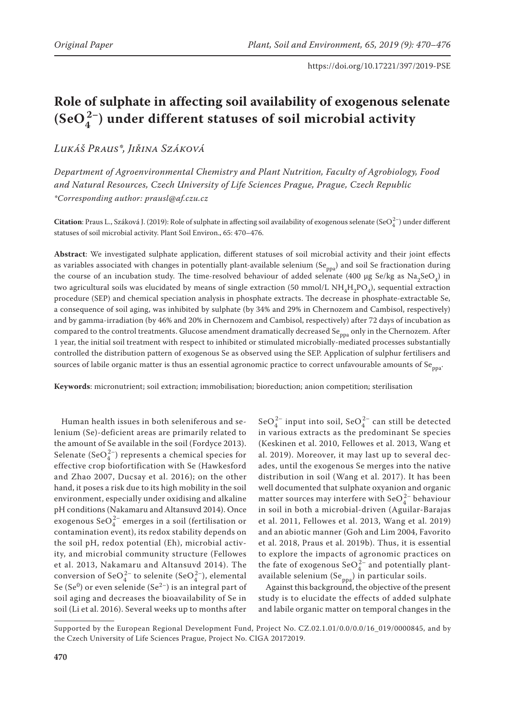# **Role of sulphate in affecting soil availability of exogenous selenate (SeO4 2–) under different statuses of soil microbial activity**

*Lukáš Praus\*, Jiřina Száková*

*Department of Agroenvironmental Chemistry and Plant Nutrition, Faculty of Agrobiology, Food and Natural Resources, Czech University of Life Sciences Prague, Prague, Czech Republic \*Corresponding author: prausl@af.czu.cz*

**Citation**: Praus L., Száková J. (2019): Role of sulphate in affecting soil availability of exogenous selenate (SeO $_4^{2-}$ ) under different statuses of soil microbial activity. Plant Soil Environ., 65: 470–476.

**Abstract**: We investigated sulphate application, different statuses of soil microbial activity and their joint effects as variables associated with changes in potentially plant-available selenium  $(Se_{ppa})$  and soil Se fractionation during the course of an incubation study. The time-resolved behaviour of added selenate (400 µg Se/kg as Na<sub>2</sub>SeO<sub>4</sub>) in two agricultural soils was elucidated by means of single extraction (50 mmol/L NH<sub>4</sub>H<sub>2</sub>PO<sub>4</sub>), sequential extraction procedure (SEP) and chemical speciation analysis in phosphate extracts. The decrease in phosphate-extractable Se, a consequence of soil aging, was inhibited by sulphate (by 34% and 29% in Chernozem and Cambisol, respectively) and by gamma-irradiation (by 46% and 20% in Chernozem and Cambisol, respectively) after 72 days of incubation as compared to the control treatments. Glucose amendment dramatically decreased Se<sub>ppa</sub> only in the Chernozem. After 1 year, the initial soil treatment with respect to inhibited or stimulated microbially-mediated processes substantially controlled the distribution pattern of exogenous Se as observed using the SEP. Application of sulphur fertilisers and sources of labile organic matter is thus an essential agronomic practice to correct unfavourable amounts of  $Se_{pna}$ .

**Keywords**: micronutrient; soil extraction; immobilisation; bioreduction; anion competition; sterilisation

Human health issues in both seleniferous and selenium (Se)-deficient areas are primarily related to the amount of Se available in the soil (Fordyce 2013). Selenate (SeO $_4^{2-}$ ) represents a chemical species for effective crop biofortification with Se (Hawkesford and Zhao 2007, Ducsay et al. 2016); on the other hand, it poses a risk due to its high mobility in the soil environment, especially under oxidising and alkaline pH conditions (Nakamaru and Altansuvd 2014). Once exogenous  $\text{SeO}_4^{2-}$  emerges in a soil (fertilisation or contamination event), its redox stability depends on the soil pH, redox potential (Eh), microbial activity, and microbial community structure (Fellowes et al. 2013, Nakamaru and Altansuvd 2014). The conversion of SeO $_4^{2-}$  to selenite (SeO $_4^{2-}$ ), elemental Se (Se<sup>0</sup>) or even selenide (Se<sup>2-</sup>) is an integral part of soil aging and decreases the bioavailability of Se in soil (Li et al. 2016). Several weeks up to months after

SeO $_4^{2-}$  input into soil, SeO $_4^{2-}$  can still be detected in various extracts as the predominant Se species (Keskinen et al. 2010, Fellowes et al. 2013, Wang et al. 2019). Moreover, it may last up to several decades, until the exogenous Se merges into the native distribution in soil (Wang et al. 2017). It has been well documented that sulphate oxyanion and organic matter sources may interfere with  $\text{SeO}_4^{2-}$  behaviour in soil in both a microbial-driven (Aguilar-Barajas et al. 2011, Fellowes et al. 2013, Wang et al. 2019) and an abiotic manner (Goh and Lim 2004, Favorito et al. 2018, Praus et al. 2019b). Thus, it is essential to explore the impacts of agronomic practices on the fate of exogenous  $\text{SeO}_4^{2-}$  and potentially plantavailable selenium  $(Se_{ppa})$  in particular soils.

Against this background, the objective of the present study is to elucidate the effects of added sulphate and labile organic matter on temporal changes in the

Supported by the European Regional Development Fund, Project No. CZ.02.1.01/0.0/0.0/16\_019/0000845, and by the Czech University of Life Sciences Prague, Project No. CIGA 20172019.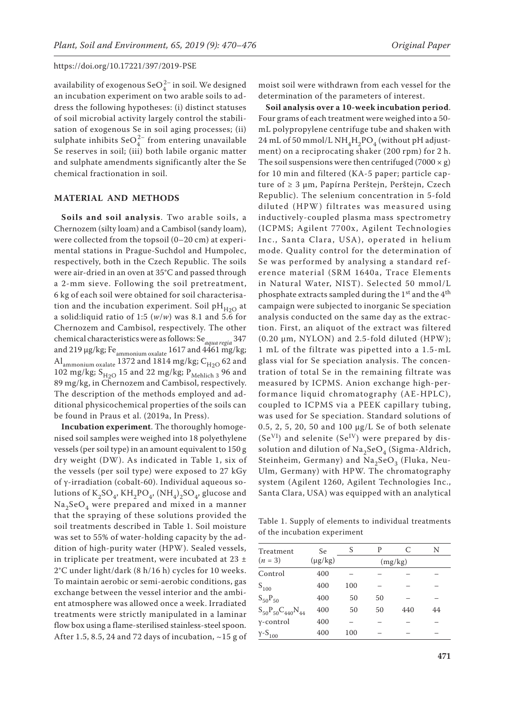availability of exogenous SeO $_4^{2-}$  in soil. We designed an incubation experiment on two arable soils to address the following hypotheses: (i) distinct statuses of soil microbial activity largely control the stabilisation of exogenous Se in soil aging processes; (ii) sulphate inhibits  $\text{SeO}_4^{2-}$  from entering unavailable Se reserves in soil; (iii) both labile organic matter and sulphate amendments significantly alter the Se chemical fractionation in soil.

### **MATERIAL AND METHODS**

**Soils and soil analysis**. Two arable soils, a Chernozem (silty loam) and a Cambisol (sandy loam), were collected from the topsoil (0–20 cm) at experimental stations in Prague-Suchdol and Humpolec, respectively, both in the Czech Republic. The soils were air-dried in an oven at 35°C and passed through a 2-mm sieve. Following the soil pretreatment, 6 kg of each soil were obtained for soil characterisation and the incubation experiment. Soil  $pH_{H2O}$  at a solid:liquid ratio of 1:5 (*w*/*w*) was 8.1 and 5.6 for Chernozem and Cambisol, respectively. The other chemical characteristics were as follows: Se*aqua regia* 347 and 219  $\mu$ g/kg; Fe $_{\text{ammonium}}$  oxalate  $1617$  and  $4461$  mg/kg; Al<sub>ammonium oxalate</sub> 1372 and 1814 mg/kg;  $C_{H2O}$  62 and 102 mg/kg;  $S_{H2O}$  15 and 22 mg/kg;  $P_{\text{Mehlich 3}}$  96 and 89 mg/kg, in Chernozem and Cambisol, respectively. The description of the methods employed and additional physicochemical properties of the soils can be found in Praus et al. (2019a, In Press).

**Incubation experiment**. The thoroughly homogenised soil samples were weighed into 18 polyethylene vessels (per soil type) in an amount equivalent to 150 g dry weight (DW). As indicated in Table 1, six of the vessels (per soil type) were exposed to 27 kGy of γ-irradiation (cobalt-60). Individual aqueous solutions of  $K_2SO_4$ ,  $KH_2PO_4$ ,  $(NH_4)_2SO_4$ , glucose and  $\text{Na}_2\text{SeO}_4$  were prepared and mixed in a manner that the spraying of these solutions provided the soil treatments described in Table 1. Soil moisture was set to 55% of water-holding capacity by the addition of high-purity water (HPW). Sealed vessels, in triplicate per treatment, were incubated at  $23 \pm$ 2°C under light/dark (8 h/16 h) cycles for 10 weeks. To maintain aerobic or semi-aerobic conditions, gas exchange between the vessel interior and the ambient atmosphere was allowed once a week. Irradiated treatments were strictly manipulated in a laminar flow box using a flame-sterilised stainless-steel spoon. After 1.5, 8.5, 24 and 72 days of incubation,  $\sim$  15 g of

moist soil were withdrawn from each vessel for the determination of the parameters of interest.

**Soil analysis over a 10-week incubation period**. Four grams of each treatment were weighed into a 50 mL polypropylene centrifuge tube and shaken with 24 mL of 50 mmol/L NH<sub>4</sub>H<sub>2</sub>PO<sub>4</sub> (without pH adjustment) on a reciprocating shaker (200 rpm) for 2 h. The soil suspensions were then centrifuged (7000  $\times$  g) for 10 min and filtered (KA-5 paper; particle capture of ≥ 3 μm, Papírna Perštejn, Perštejn, Czech Republic). The selenium concentration in 5-fold diluted (HPW) filtrates was measured using inductively-coupled plasma mass spectrometry (ICPMS; Agilent 7700x, Agilent Technologies Inc., Santa Clara, USA), operated in helium mode. Quality control for the determination of Se was performed by analysing a standard reference material (SRM 1640a, Trace Elements in Natural Water, NIST). Selected 50 mmol/L phosphate extracts sampled during the  $1<sup>st</sup>$  and the  $4<sup>th</sup>$ campaign were subjected to inorganic Se speciation analysis conducted on the same day as the extraction. First, an aliquot of the extract was filtered (0.20 μm, NYLON) and 2.5-fold diluted (HPW); 1 mL of the filtrate was pipetted into a 1.5-mL glass vial for Se speciation analysis. The concentration of total Se in the remaining filtrate was measured by ICPMS. Anion exchange high-performance liquid chromatography (AE-HPLC), coupled to ICPMS via a PEEK capillary tubing, was used for Se speciation. Standard solutions of 0.5, 2, 5, 20, 50 and 100 μg/L Se of both selenate  $(Se^{VI})$  and selenite  $(Se^{IV})$  were prepared by dissolution and dilution of  $\text{Na}_2\text{SeO}_4$  (Sigma-Aldrich, Steinheim, Germany) and Na<sub>2</sub>SeO<sub>3</sub> (Fluka, Neu-Ulm, Germany) with HPW. The chromatography system (Agilent 1260, Agilent Technologies Inc., Santa Clara, USA) was equipped with an analytical

Table 1. Supply of elements to individual treatments of the incubation experiment

| Treatment                   | Se           |         | P  | C   | N  |
|-----------------------------|--------------|---------|----|-----|----|
| $(n = 3)$                   | $(\mu g/kg)$ | (mg/kg) |    |     |    |
| Control                     | 400          |         |    |     |    |
| $S_{100}$                   | 400          | 100     |    |     |    |
| $S_{50}P_{50}$              | 400          | 50      | 50 |     |    |
| $S_{50}P_{50}C_{440}N_{44}$ | 400          | 50      | 50 | 440 | 44 |
| γ-control                   | 400          |         |    |     |    |
| $Y-S_{100}$                 | 400          | 100     |    |     |    |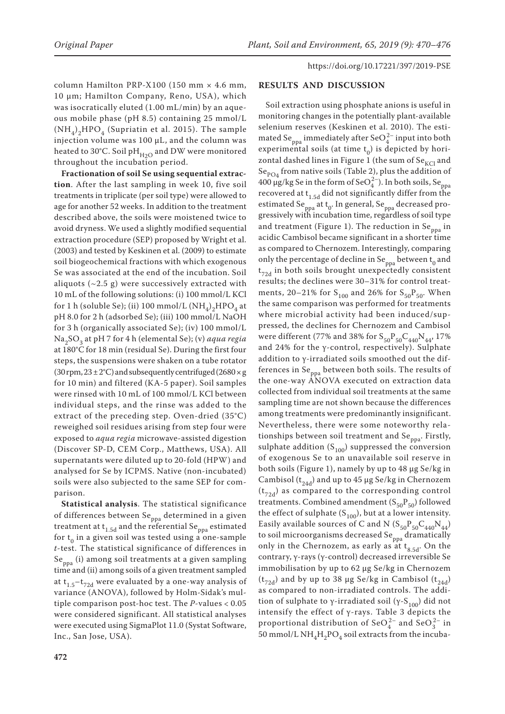column Hamilton PRP-X100 (150 mm  $\times$  4.6 mm, 10 µm; Hamilton Company, Reno, USA), which was isocratically eluted (1.00 mL/min) by an aqueous mobile phase (pH 8.5) containing 25 mmol/L  $(NH<sub>4</sub>)$ <sub>2</sub>HPO<sub>4</sub> (Supriatin et al. 2015). The sample injection volume was 100 µL, and the column was heated to 30°C. Soil pH $_{H2O}$  and DW were monitored throughout the incubation period.

**Fractionation of soil Se using sequential extraction**. After the last sampling in week 10, five soil treatments in triplicate (per soil type) were allowed to age for another 52 weeks. In addition to the treatment described above, the soils were moistened twice to avoid dryness. We used a slightly modified sequential extraction procedure (SEP) proposed by Wright et al. (2003) and tested by Keskinen et al. (2009) to estimate soil biogeochemical fractions with which exogenous Se was associated at the end of the incubation. Soil aliquots  $(\sim 2.5 \text{ g})$  were successively extracted with 10 mL of the following solutions: (i) 100 mmol/L KCl for 1 h (soluble Se); (ii) 100 mmol/L  $(NH_4)_2$ HPO<sub>4</sub> at pH 8.0 for 2 h (adsorbed Se); (iii) 100 mmol/L NaOH for 3 h (organically associated Se); (iv) 100 mmol/L Na2SO3 at pH 7 for 4 h (elemental Se); (v) *aqua regia* at 180°C for 18 min (residual Se). During the first four steps, the suspensions were shaken on a tube rotator (30 rpm,  $23 \pm 2^{\circ}$ C) and subsequently centrifuged (2680  $\times$  g for 10 min) and filtered (KA-5 paper). Soil samples were rinsed with 10 mL of 100 mmol/L KCl between individual steps, and the rinse was added to the extract of the preceding step. Oven-dried (35°C) reweighed soil residues arising from step four were exposed to *aqua regia* microwave-assisted digestion (Discover SP-D, CEM Corp., Matthews, USA). All supernatants were diluted up to 20-fold (HPW) and analysed for Se by ICPMS. Native (non-incubated) soils were also subjected to the same SEP for comparison.

**Statistical analysis**. The statistical significance of differences between Se<sub>ppa</sub> determined in a given treatment at t<sub>1.5d</sub> and the referential Se<sub>ppa</sub> estimated for  $t_0$  in a given soil was tested using a one-sample *t*-test. The statistical significance of differences in Se ppa (i) among soil treatments at a given sampling time and (ii) among soils of a given treatment sampled at  $t_{1.5}-t_{72d}$  were evaluated by a one-way analysis of variance (ANOVA), followed by Holm-Sidak's multiple comparison post-hoc test. The *P*-values < 0.05 were considered significant. All statistical analyses were executed using SigmaPlot 11.0 (Systat Software, Inc., San Jose, USA).

# **RESULTS AND DISCUSSION**

Soil extraction using phosphate anions is useful in monitoring changes in the potentially plant-available selenium reserves (Keskinen et al. 2010). The estimated Se<sub>ppa</sub> immediately after SeO $_4^{2-}$  input into both experimental soils (at time  $t_0$ ) is depicted by horizontal dashed lines in Figure 1 (the sum of  $Se_{KCl}$  and Se<sub>PO4</sub> from native soils (Table 2), plus the addition of 400 µg/kg Se in the form of SeO $_4^{2-}$ ). In both soils, Se<sub>ppa</sub> recovered at  $t_{1.5d}$  did not significantly differ from the estimated Se<sub>ppa</sub> at t<sub>0</sub>. In general, Se<sub>ppa</sub> decreased progressively with incubation time, regardless of soil type and treatment (Figure 1). The reduction in  $Se_{ppa}$  in acidic Cambisol became significant in a shorter time as compared to Chernozem. Interestingly, comparing only the percentage of decline in  $Se_{ppa}$  between  $t_0$  and  $t_{72d}$  in both soils brought unexpectedly consistent results; the declines were 30–31% for control treatments, 20–21% for  $S_{100}$  and 26% for  $S_{50}P_{50}$ . When the same comparison was performed for treatments where microbial activity had been induced/suppressed, the declines for Chernozem and Cambisol were different (77% and 38% for  $S_{50}P_{50}C_{440}N_{44}$ , 17% and 24% for the γ-control, respectively). Sulphate addition to γ-irradiated soils smoothed out the differences in Se ppa between both soils. The results of the one-way ANOVA executed on extraction data collected from individual soil treatments at the same sampling time are not shown because the differences among treatments were predominantly insignificant. Nevertheless, there were some noteworthy relationships between soil treatment and  $Se_{ppa}$ . Firstly, sulphate addition  $(S_{100})$  suppressed the conversion of exogenous Se to an unavailable soil reserve in both soils (Figure 1), namely by up to 48 µg Se/kg in Cambisol ( $t_{24d}$ ) and up to 45 µg Se/kg in Chernozem  $(t_{72d})$  as compared to the corresponding control treatments. Combined amendment  $(S_{50}P_{50})$  followed the effect of sulphate  $(S_{100})$ , but at a lower intensity. Easily available sources of C and N  $(S_{50}P_{50}C_{440}N_{44})$ to soil microorganisms decreased Se<sub>ppa</sub> dramatically only in the Chernozem, as early as at  $t_{8.5d}$ . On the contrary, γ-rays (γ-control) decreased irreversible Se immobilisation by up to 62 µg Se/kg in Chernozem  $(t_{72d})$  and by up to 38 µg Se/kg in Cambisol  $(t_{24d})$ as compared to non-irradiated controls. The addition of sulphate to γ-irradiated soil (γ-S<sub>100</sub>) did not intensify the effect of γ-rays. Table 3 depicts the proportional distribution of SeO $_4^{2-}$  and SeO $_3^{2-}$  in 50 mmol/L NH<sub>4</sub>H<sub>2</sub>PO<sub>4</sub> soil extracts from the incuba-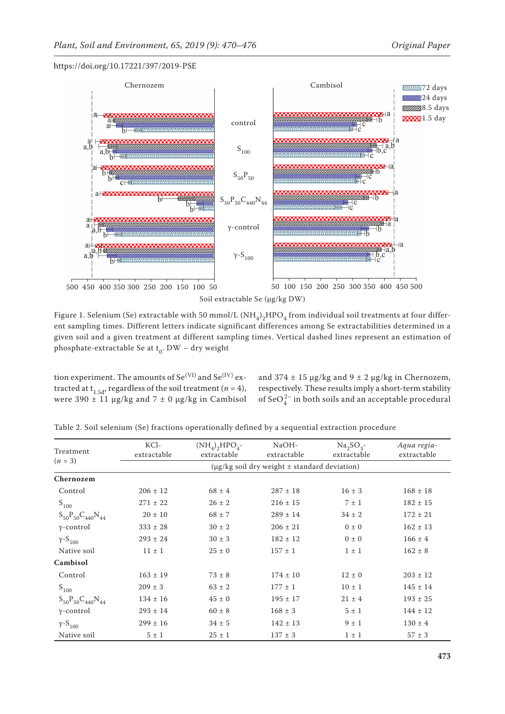

Figure 1. Selenium (Se) extractable with 50 mmol/L (NH $_4)_2$ HPO $_4$  from individual soil treatments at four different sampling times. Different letters indicate significant differences among Se extractabilities determined in a given soil and a given treatment at different sampling times. Vertical dashed lines represent an estimation of phosphate-extractable Se at  $t_0$ . DW – dry weight

tion experiment. The amounts of  $Se<sup>(VI)</sup>$  and  $Se<sup>(IV)</sup>$  extracted at t<sub>1.5d</sub>, regardless of the soil treatment ( $n = 4$ ), were 390  $\pm$  11 µg/kg and 7  $\pm$  0 µg/kg in Cambisol

and  $374 \pm 15$  µg/kg and  $9 \pm 2$  µg/kg in Chernozem, respectively. These results imply a short-term stability of  $\text{SeO}_4^{2-}$  in both soils and an acceptable procedural

| Treatment                   | KCl-<br>extractable | $(NH_4)$ <sub>2</sub> HPO <sub>4</sub> -<br>extractable | NaOH-<br>extractable | $Na2SO3$ -<br>extractable | Aqua regia-<br>extractable |  |  |  |
|-----------------------------|---------------------|---------------------------------------------------------|----------------------|---------------------------|----------------------------|--|--|--|
| $(n = 3)$                   |                     | $(\mu$ g/kg soil dry weight $\pm$ standard deviation)   |                      |                           |                            |  |  |  |
| Chernozem                   |                     |                                                         |                      |                           |                            |  |  |  |
| Control                     | $206 \pm 12$        | $68 \pm 4$                                              | $287 \pm 18$         | $16 \pm 3$                | $168 \pm 18$               |  |  |  |
| $S_{100}$                   | $271 \pm 22$        | $26 \pm 2$                                              | $216 \pm 15$         | $7 \pm 1$                 | $182 \pm 15$               |  |  |  |
| $S_{50}P_{50}C_{440}N_{44}$ | $20 \pm 10$         | $68 \pm 7$                                              | $289 \pm 14$         | $34 \pm 2$                | $172 \pm 21$               |  |  |  |
| $\gamma$ -control           | $333 \pm 28$        | $30 \pm 2$                                              | $206 \pm 21$         | $0 \pm 0$                 | $162 \pm 13$               |  |  |  |
| $Y-S_{100}$                 | $293 \pm 24$        | $30 \pm 3$                                              | $182 \pm 12$         | $0 \pm 0$                 | $166 \pm 4$                |  |  |  |
| Native soil                 | $11 \pm 1$          | $25 \pm 0$                                              | $157 \pm 1$          | $1 \pm 1$                 | $162 \pm 8$                |  |  |  |
| Cambisol                    |                     |                                                         |                      |                           |                            |  |  |  |
| Control                     | $163 \pm 19$        | $73 \pm 8$                                              | $174 \pm 10$         | $12 \pm 0$                | $203 \pm 12$               |  |  |  |
| $S_{100}$                   | $209 \pm 3$         | $63 \pm 2$                                              | $177 \pm 1$          | $10 \pm 1$                | $145 \pm 14$               |  |  |  |
| $S_{50}P_{50}C_{440}N_{44}$ | $134 \pm 16$        | $45 \pm 0$                                              | $195 \pm 17$         | $21 \pm 4$                | $193 \pm 25$               |  |  |  |
| $\gamma$ -control           | $293 \pm 14$        | $60 \pm 8$                                              | $168 \pm 3$          | $5 \pm 1$                 | $144 \pm 12$               |  |  |  |
| $Y-S_{100}$                 | $299 \pm 16$        | $34 \pm 5$                                              | $142 \pm 13$         | $9 \pm 1$                 | $130 \pm 4$                |  |  |  |
| Native soil                 | $5 \pm 1$           | $25 \pm 1$                                              | $137 \pm 3$          | $1 \pm 1$                 | $57 \pm 3$                 |  |  |  |

Table 2. Soil selenium (Se) fractions operationally defined by a sequential extraction procedure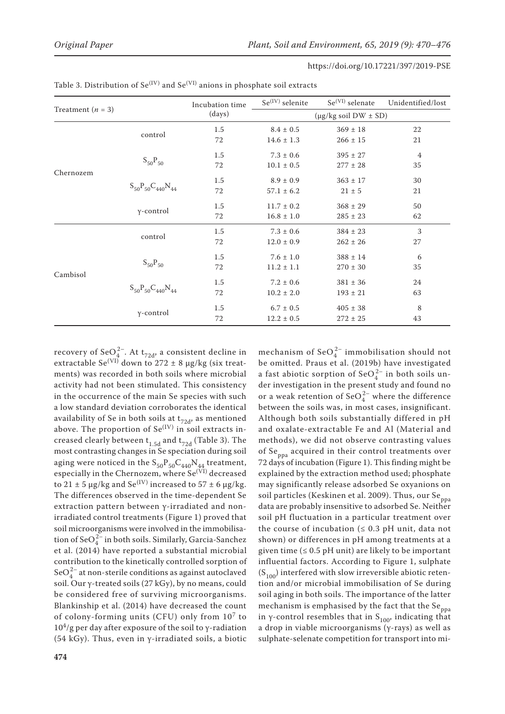|                     |                             | Incubation time | $Se^{(IV)}$ selenite                | $Se(VI)$ selenate | Unidentified/lost |  |
|---------------------|-----------------------------|-----------------|-------------------------------------|-------------------|-------------------|--|
| Treatment $(n = 3)$ |                             | (days)          | $(\mu g/kg \text{ soil DW} \pm SD)$ |                   |                   |  |
| Chernozem           | control                     | 1.5             | $8.4 \pm 0.5$                       | $369 \pm 18$      | 22                |  |
|                     |                             | 72              | $14.6 \pm 1.3$                      | $266 \pm 15$      | 21                |  |
|                     | $S_{50}P_{50}$              | 1.5             | $7.3 \pm 0.6$                       | $395 \pm 27$      | $\overline{4}$    |  |
|                     |                             | 72              | $10.1 \pm 0.5$                      | $277 \pm 28$      | 35                |  |
|                     | $S_{50}P_{50}C_{440}N_{44}$ | 1.5             | $8.9 \pm 0.9$                       | $363 \pm 17$      | 30                |  |
|                     |                             | 72              | $57.1 \pm 6.2$                      | $21 \pm 5$        | 21                |  |
|                     | $\gamma$ -control           | 1.5             | $11.7 \pm 0.2$                      | $368 \pm 29$      | 50                |  |
|                     |                             | 72              | $16.8 \pm 1.0$                      | $285 \pm 23$      | 62                |  |
| Cambisol            | control                     | 1.5             | $7.3 \pm 0.6$                       | $384 \pm 23$      | 3                 |  |
|                     |                             | 72              | $12.0 \pm 0.9$                      | $262 \pm 26$      | 27                |  |
|                     |                             | 1.5             | $7.6 \pm 1.0$                       | $388 \pm 14$      | 6                 |  |
|                     | $S_{50}P_{50}$              | 72              | $11.2 \pm 1.1$                      | $270 \pm 30$      | 35                |  |
|                     | $S_{50}P_{50}C_{440}N_{44}$ | 1.5             | $7.2 \pm 0.6$                       | $381 \pm 36$      | 24                |  |
|                     |                             | 72              | $10.2 \pm 2.0$                      | $193 \pm 21$      | 63                |  |
|                     | $\gamma$ -control           | 1.5             | $6.7 \pm 0.5$                       | $405 \pm 38$      | 8                 |  |
|                     |                             | 72              | $12.2 \pm 0.5$                      | $272 \pm 25$      | 43                |  |

| Table 3. Distribution of $Se^{(IV)}$ and $Se^{(VI)}$ anions in phosphate soil extracts |  |
|----------------------------------------------------------------------------------------|--|
|----------------------------------------------------------------------------------------|--|

recovery of SeO<sub>4</sub><sup>2</sup>. At t<sub>72d</sub>, a consistent decline in extractable Se<sup>(VI)</sup> down to 272  $\pm$  8  $\mu$ g/kg (six treatments) was recorded in both soils where microbial activity had not been stimulated. This consistency in the occurrence of the main Se species with such a low standard deviation corroborates the identical availability of Se in both soils at  $t_{72d}$ , as mentioned above. The proportion of  $Se^{(IV)}$  in soil extracts increased clearly between  $t_{1.5d}$  and  $t_{72d}$  (Table 3). The most contrasting changes in Se speciation during soil aging were noticed in the  $\text{S}_{50}\text{P}_{50}\text{C}_{440}\text{N}_{44}$  treatment, especially in the Chernozem, where Se<sup>(VI)</sup> decreased to 21  $\pm$  5 µg/kg and Se<sup>(IV)</sup> increased to 57  $\pm$  6 µg/kg. The differences observed in the time-dependent Se extraction pattern between γ-irradiated and nonirradiated control treatments (Figure 1) proved that soil microorganisms were involved in the immobilisation of SeO $_4^{2-}$  in both soils. Similarly, Garcia-Sanchez et al. (2014) have reported a substantial microbial contribution to the kinetically controlled sorption of SeO $_4^{2-}$  at non-sterile conditions as against autoclaved soil. Our γ-treated soils (27 kGy), by no means, could be considered free of surviving microorganisms. Blankinship et al. (2014) have decreased the count of colony-forming units (CFU) only from 107 to  $10^4$ /g per day after exposure of the soil to y-radiation (54 kGy). Thus, even in γ-irradiated soils, a biotic

mechanism of  $\text{SeO}_4^{2-}$  immobilisation should not be omitted. Praus et al. (2019b) have investigated a fast abiotic sorption of  $\text{SeO}_4^{2-}$  in both soils under investigation in the present study and found no or a weak retention of  $\text{SeO}_4^{2-}$  where the difference between the soils was, in most cases, insignificant. Although both soils substantially differed in pH and oxalate-extractable Fe and Al (Material and methods), we did not observe contrasting values of Se<sub>ppa</sub> acquired in their control treatments over 72 days of incubation (Figure 1). This finding might be explained by the extraction method used; phosphate may significantly release adsorbed Se oxyanions on soil particles (Keskinen et al. 2009). Thus, our Se<sub>ppa</sub> data are probably insensitive to adsorbed Se. Neither soil pH fluctuation in a particular treatment over the course of incubation ( $\leq 0.3$  pH unit, data not shown) or differences in pH among treatments at a given time  $(≤ 0.5$  pH unit) are likely to be important influential factors. According to Figure 1, sulphate  $(S<sub>100</sub>)$  interfered with slow irreversible abiotic retention and/or microbial immobilisation of Se during soil aging in both soils. The importance of the latter mechanism is emphasised by the fact that the Se<sub>ppa</sub> in *γ*-control resembles that in  $S_{100}$ , indicating that a drop in viable microorganisms (γ-rays) as well as sulphate-selenate competition for transport into mi-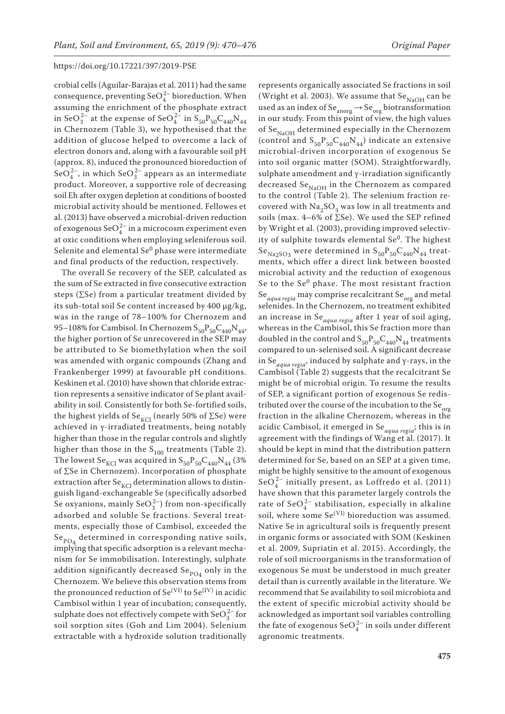crobial cells (Aguilar-Barajas et al. 2011) had the same consequence, preventing  $\text{SeO}_4^{2-}$  bioreduction. When assuming the enrichment of the phosphate extract in SeO $_3^{2-}$  at the expense of SeO $_4^{2-}$  in S<sub>50</sub>P<sub>50</sub>C<sub>440</sub>N<sub>44</sub> in Chernozem (Table 3), we hypothesised that the addition of glucose helped to overcome a lack of electron donors and, along with a favourable soil pH (approx. 8), induced the pronounced bioreduction of SeO $_4^{2-}$ , in which SeO $_3^{2-}$  appears as an intermediate product. Moreover, a supportive role of decreasing soil Eh after oxygen depletion at conditions of boosted microbial activity should be mentioned. Fellowes et al. (2013) have observed a microbial-driven reduction of exogenous  $\text{SeO}_4^{2-}$  in a microcosm experiment even at oxic conditions when employing seleniferous soil. Selenite and elemental  $\rm Se^0$  phase were intermediate and final products of the reduction, respectively.

The overall Se recovery of the SEP, calculated as the sum of Se extracted in five consecutive extraction steps (∑Se) from a particular treatment divided by its sub-total soil Se content increased by 400 μg/kg, was in the range of 78–100% for Chernozem and 95–108% for Cambisol. In Chernozem  $S_{50}P_{50}C_{440}N_{44}$ , the higher portion of Se unrecovered in the SEP may be attributed to Se biomethylation when the soil was amended with organic compounds (Zhang and Frankenberger 1999) at favourable pH conditions. Keskinen et al. (2010) have shown that chloride extraction represents a sensitive indicator of Se plant availability in soil. Consistently for both Se-fortified soils, the highest yields of Se<sub>KCl</sub> (nearly 50% of ∑Se) were achieved in γ-irradiated treatments, being notably higher than those in the regular controls and slightly higher than those in the  $S_{100}$  treatments (Table 2). The lowest Se<sub>KCl</sub> was acquired in  $S_{50}P_{50}C_{440}N_{44}$  (3% of ∑Se in Chernozem). Incorporation of phosphate extraction after  $Se_{\text{KCl}}$  determination allows to distinguish ligand-exchangeable Se (specifically adsorbed Se oxyanions, mainly  $\text{SeO}_3^{2-}$ ) from non-specifically adsorbed and soluble Se fractions. Several treatments, especially those of Cambisol, exceeded the Se $_{\text{PO}_4}$  determined in corresponding native soils, implying that specific adsorption is a relevant mechanism for Se immobilisation. Interestingly, sulphate addition significantly decreased Se $_{\text{PO4}}$  only in the Chernozem. We believe this observation stems from the pronounced reduction of  $Se<sup>(VI)</sup>$  to  $Se<sup>(IV)</sup>$  in acidic Cambisol within 1 year of incubation; consequently, sulphate does not effectively compete with  $\text{SeO}_3^{2-}$  for soil sorption sites (Goh and Lim 2004). Selenium extractable with a hydroxide solution traditionally

represents organically associated Se fractions in soil (Wright et al. 2003). We assume that  $\rm Se_{NaOH}$  can be used as an index of  $\text{Se}_{\text{anorg}} \to \text{Se}_{\text{org}}$  biotransformation in our study. From this point of view, the high values of  $\rm Se_{NaOH}$  determined especially in the Chernozem (control and  $S_{50}P_{50}C_{440}N_{44}$ ) indicate an extensive microbial-driven incorporation of exogenous Se into soil organic matter (SOM). Straightforwardly, sulphate amendment and γ-irradiation significantly decreased  $Se<sub>NaOH</sub>$  in the Chernozem as compared to the control (Table 2). The selenium fraction recovered with  $\text{Na}_2\text{SO}_3$  was low in all treatments and soils (max. 4–6% of ∑Se). We used the SEP refined by Wright et al. (2003), providing improved selectivity of sulphite towards elemental  $Se^{0}$ . The highest  $Se_{Na2SO3}$  were determined in  $S_{50}P_{50}C_{440}N_{44}$  treatments, which offer a direct link between boosted microbial activity and the reduction of exogenous Se to the  $Se^{0}$  phase. The most resistant fraction Se $_{aquad \, regia}$  may comprise recalcitrant Se $_{\text{org}}$  and metal selenides. In the Chernozem, no treatment exhibited an increase in Se*aqua regia* after 1 year of soil aging, whereas in the Cambisol, this Se fraction more than doubled in the control and  $\mathrm{S}_{50}\mathrm{P}_{50}\mathrm{C}_{440}\mathrm{N}_{44}$  treatments compared to un-selenised soil. A significant decrease in Se*aqua regia*, induced by sulphate and γ-rays, in the Cambisol (Table 2) suggests that the recalcitrant Se might be of microbial origin. To resume the results of SEP, a significant portion of exogenous Se redistributed over the course of the incubation to the  $\mathrm{Se}_{\mathrm{org}}$ fraction in the alkaline Chernozem, whereas in the acidic Cambisol, it emerged in Se*aqua regia*; this is in agreement with the findings of Wang et al. (2017). It should be kept in mind that the distribution pattern determined for Se, based on an SEP at a given time, might be highly sensitive to the amount of exogenous  $\text{SeO}_4^{2-}$  initially present, as Loffredo et al. (2011) have shown that this parameter largely controls the rate of SeO $_4^{2-}$  stabilisation, especially in alkaline soil, where some Se(VI) bioreduction was assumed. Native Se in agricultural soils is frequently present in organic forms or associated with SOM (Keskinen et al. 2009, Supriatin et al. 2015). Accordingly, the role of soil microorganisms in the transformation of exogenous Se must be understood in much greater detail than is currently available in the literature. We recommend that Se availability to soil microbiota and the extent of specific microbial activity should be acknowledged as important soil variables controlling the fate of exogenous Se $O_4^{2-}$  in soils under different agronomic treatments.